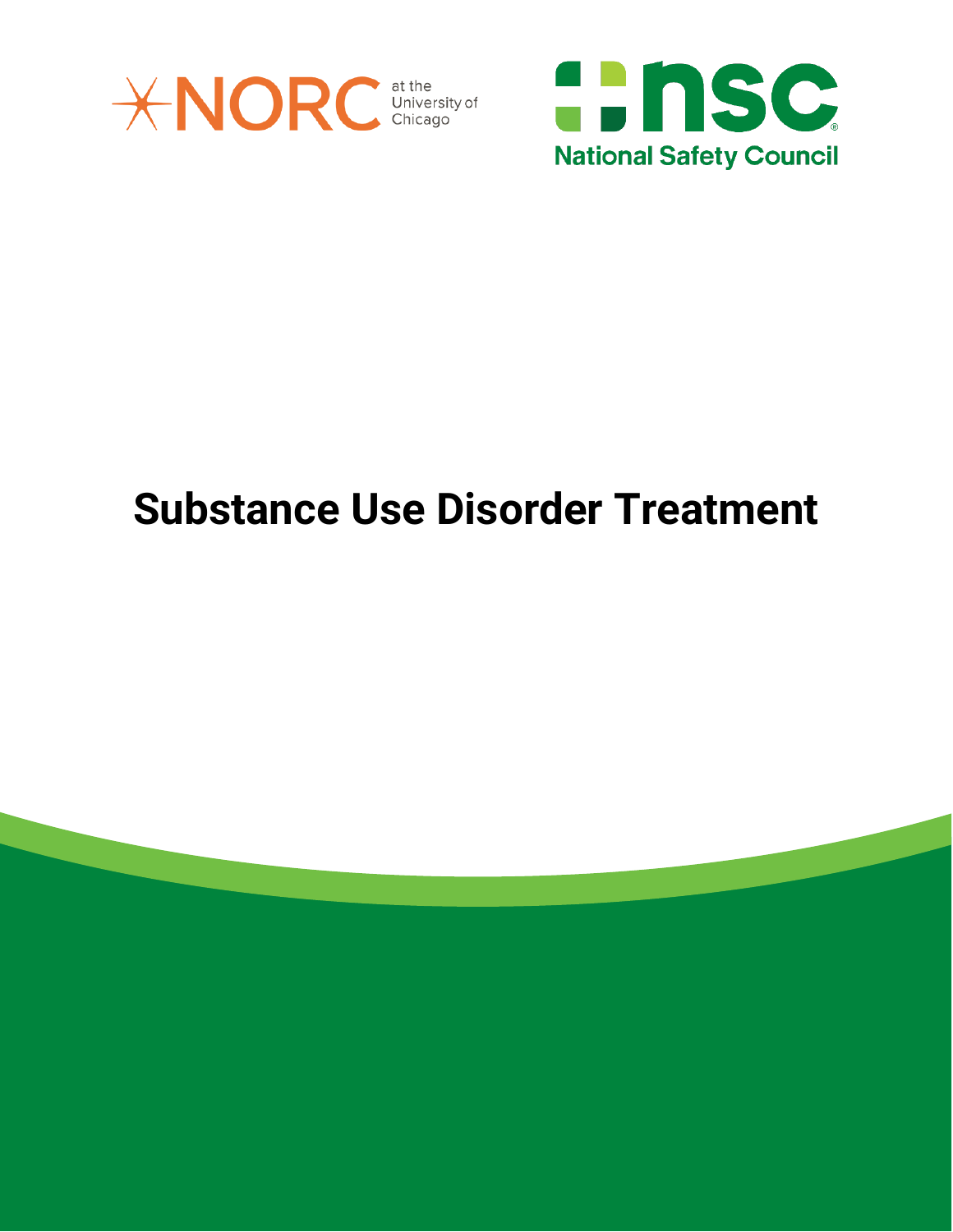



# **Substance Use Disorder Treatment**

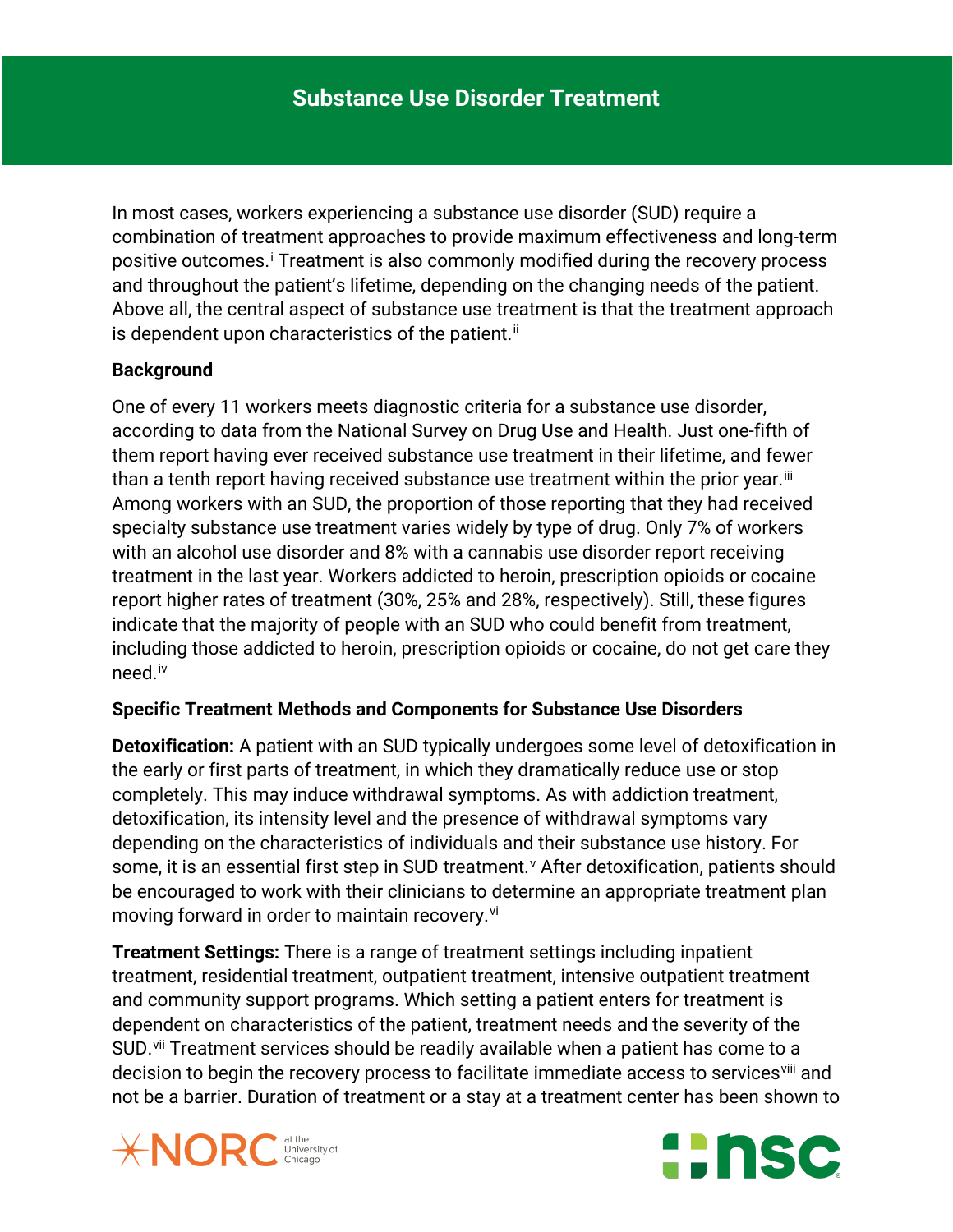In most cases, workers experiencing a substance use disorder (SUD) require a combination of treatment approaches to provide maximum effectiveness and long-term pos[i](#page-5-0)tive outcomes.<sup>i</sup> Treatment is also commonly modified during the recovery process and throughout the patient's lifetime, depending on the changing needs of the patient. Above all, the central aspect of substance use treatment is that the treatment approach is dependent upon characteristics of the patient. ${}^{ii}$  ${}^{ii}$  ${}^{ii}$ 

### **Background**

One of every 11 workers meets diagnostic criteria for a substance use disorder, according to data from the National Survey on Drug Use and Health. Just one-fifth of them report having ever received substance use treatment in their lifetime, and fewer than a tenth report having received substance use treatment within the prior year.<sup>[iii](#page-5-2)</sup> Among workers with an SUD, the proportion of those reporting that they had received specialty substance use treatment varies widely by type of drug. Only 7% of workers with an alcohol use disorder and 8% with a cannabis use disorder report receiving treatment in the last year. Workers addicted to heroin, prescription opioids or cocaine report higher rates of treatment (30%, 25% and 28%, respectively). Still, these figures indicate that the majority of people with an SUD who could benefit from treatment, including those addicted to heroin, prescription opioids or cocaine, do not get care they need.[iv](#page-5-3) 

#### **Specific Treatment Methods and Components for Substance Use Disorders**

**Detoxification:** A patient with an SUD typically undergoes some level of detoxification in the early or first parts of treatment, in which they dramatically reduce use or stop completely. This may induce withdrawal symptoms. As with addiction treatment, detoxification, its intensity level and the presence of withdrawal symptoms vary depending on the characteristics of individuals and their substance use history. For some, it is an essential first step in SUD treatment.<sup>[v](#page-5-4)</sup> After detoxification, patients should be encouraged to work with their clinicians to determine an appropriate treatment plan mo[vi](#page-5-5)ng forward in order to maintain recovery.<sup>vi</sup>

**Treatment Settings:** There is a range of treatment settings including inpatient treatment, residential treatment, outpatient treatment, intensive outpatient treatment and community support programs. Which setting a patient enters for treatment is dependent on characteristics of the patient, treatment needs and the severity of the SUD.<sup>[vii](#page-5-6)</sup> Treatment services should be readily available when a patient has come to a decision to begin the recovery process to facilitate immediate access to servicesvili and not be a barrier. Duration of treatment or a stay at a treatment center has been shown to



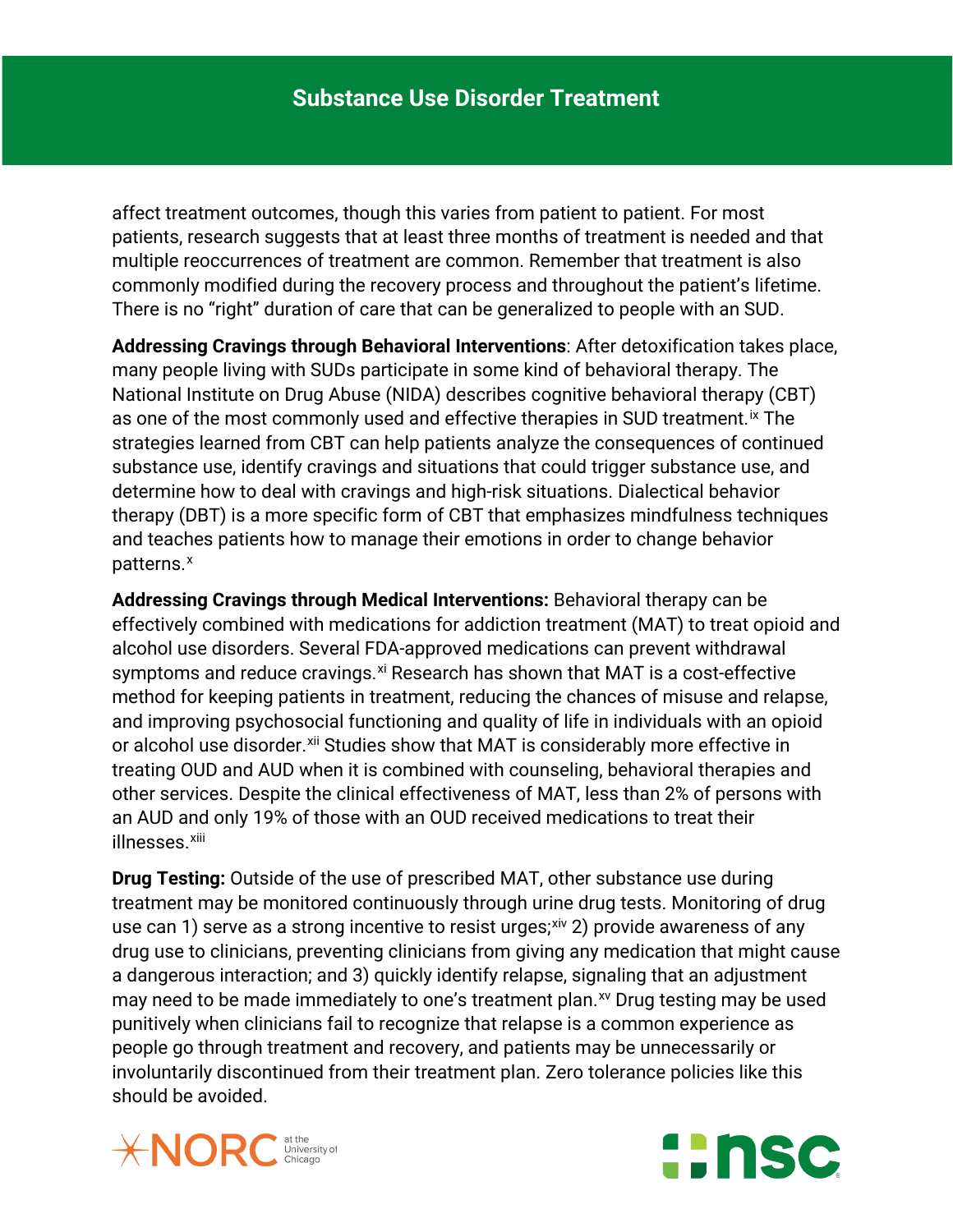affect treatment outcomes, though this varies from patient to patient. For most patients, research suggests that at least three months of treatment is needed and that multiple reoccurrences of treatment are common. Remember that treatment is also commonly modified during the recovery process and throughout the patient's lifetime. There is no "right" duration of care that can be generalized to people with an SUD.

**Addressing Cravings through Behavioral Interventions**: After detoxification takes place, many people living with SUDs participate in some kind of behavioral therapy. The National Institute on Drug Abuse (NIDA) describes cognitive behavioral therapy (CBT) as one of the most commonly used and effective therapies in SUD treatment.<sup>[ix](#page-5-8)</sup> The strategies learned from CBT can help patients analyze the consequences of continued substance use, identify cravings and situations that could trigger substance use, and determine how to deal with cravings and high-risk situations. Dialectical behavior therapy (DBT) is a more specific form of CBT that emphasizes mindfulness techniques and teaches patients how to manage their emotions in order to change behavior patterns.<sup>[x](#page-5-9)</sup>

**Addressing Cravings through Medical Interventions:** Behavioral therapy can be effectively combined with medications for addiction treatment (MAT) to treat opioid and alcohol use disorders. Several FDA-approved medications can prevent withdrawal symptoms and reduce cravings. $x_i$  Research has shown that MAT is a cost-effective method for keeping patients in treatment, reducing the chances of misuse and relapse, and improving psychosocial functioning and quality of life in individuals with an opioid or alcohol use disorder.<sup>[xii](#page-5-11)</sup> Studies show that MAT is considerably more effective in treating OUD and AUD when it is combined with counseling, behavioral therapies and other services. Despite the clinical effectiveness of MAT, less than 2% of persons with an AUD and only 19% of those with an OUD received medications to treat their illnesses.<sup>[xiii](#page-6-0)</sup>

**Drug Testing:** Outside of the use of prescribed MAT, other substance use during treatment may be monitored continuously through urine drug tests. Monitoring of drug use can 1) serve as a strong incentive to resist urges; $x^i$ , 2) provide awareness of any drug use to clinicians, preventing clinicians from giving any medication that might cause a dangerous interaction; and 3) quickly identify relapse, signaling that an adjustment may need to be made immediately to one's treatment plan.<sup>[xv](#page-6-2)</sup> Drug testing may be used punitively when clinicians fail to recognize that relapse is a common experience as people go through treatment and recovery, and patients may be unnecessarily or involuntarily discontinued from their treatment plan. Zero tolerance policies like this should be avoided.



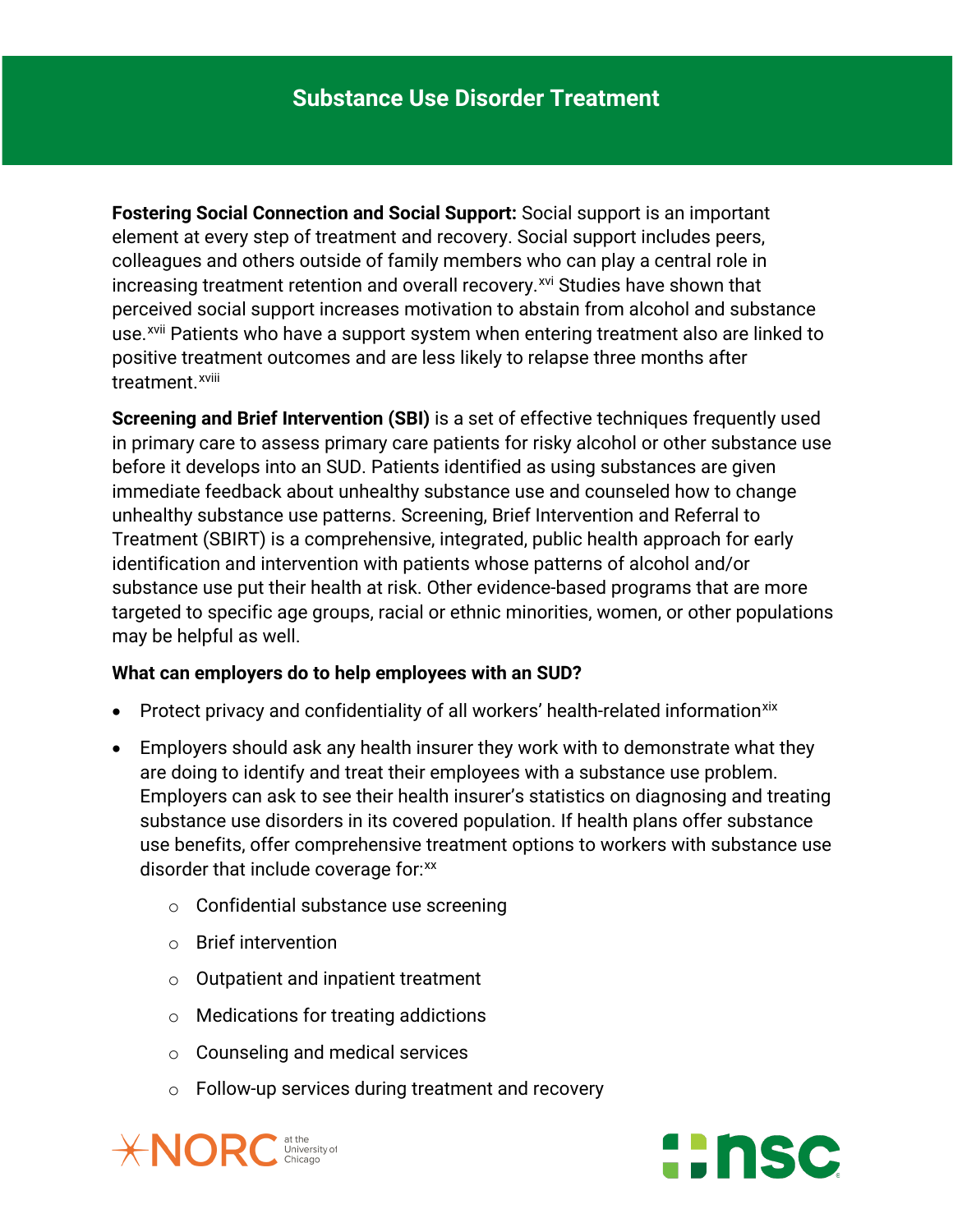**Fostering Social Connection and Social Support:** Social support is an important element at every step of treatment and recovery. Social support includes peers, colleagues and others outside of family members who can play a central role in increasing treatment retention and overall recovery.<sup>[xvi](#page-6-3)</sup> Studies have shown that treatment.<sup>xv[i](#page-6-5)ii</sup> perceived social support increases motivation to abstain from alcohol and substance use.<sup>[xvii](#page-6-4)</sup> Patients who have a support system when entering treatment also are linked to positive treatment outcomes and are less likely to relapse three months after

**Screening and Brief Intervention (SBI)** is a set of effective techniques frequently used in primary care to assess primary care patients for risky alcohol or other substance use before it develops into an SUD. Patients identified as using substances are given immediate feedback about unhealthy substance use and counseled how to change unhealthy substance use patterns. Screening, Brief Intervention and Referral to Treatment (SBIRT) is a comprehensive, integrated, public health approach for early identification and intervention with patients whose patterns of alcohol and/or substance use put their health at risk. Other evidence-based programs that are more targeted to specific age groups, racial or ethnic minorities, women, or other populations may be helpful as well.

#### **What can employers do to help employees with an SUD?**

- Protect privacy and confidentiality of all workers' health-related information<sup>[xix](#page-6-6)</sup>
- Employers should ask any health insurer they work with to demonstrate what they are doing to identify and treat their employees with a substance use problem. Employers can ask to see their health insurer's statistics on diagnosing and treating substance use disorders in its covered population. If health plans offer substance use benefits, offer comprehensive treatment options to workers with substance use disorder that include coverage for: $\frac{xx}{x}$  $\frac{xx}{x}$  $\frac{xx}{x}$ 
	- o Confidential substance use screening
	- o Brief intervention
	- o Outpatient and inpatient treatment
	- o Medications for treating addictions
	- o Counseling and medical services
	- o Follow-up services during treatment and recovery



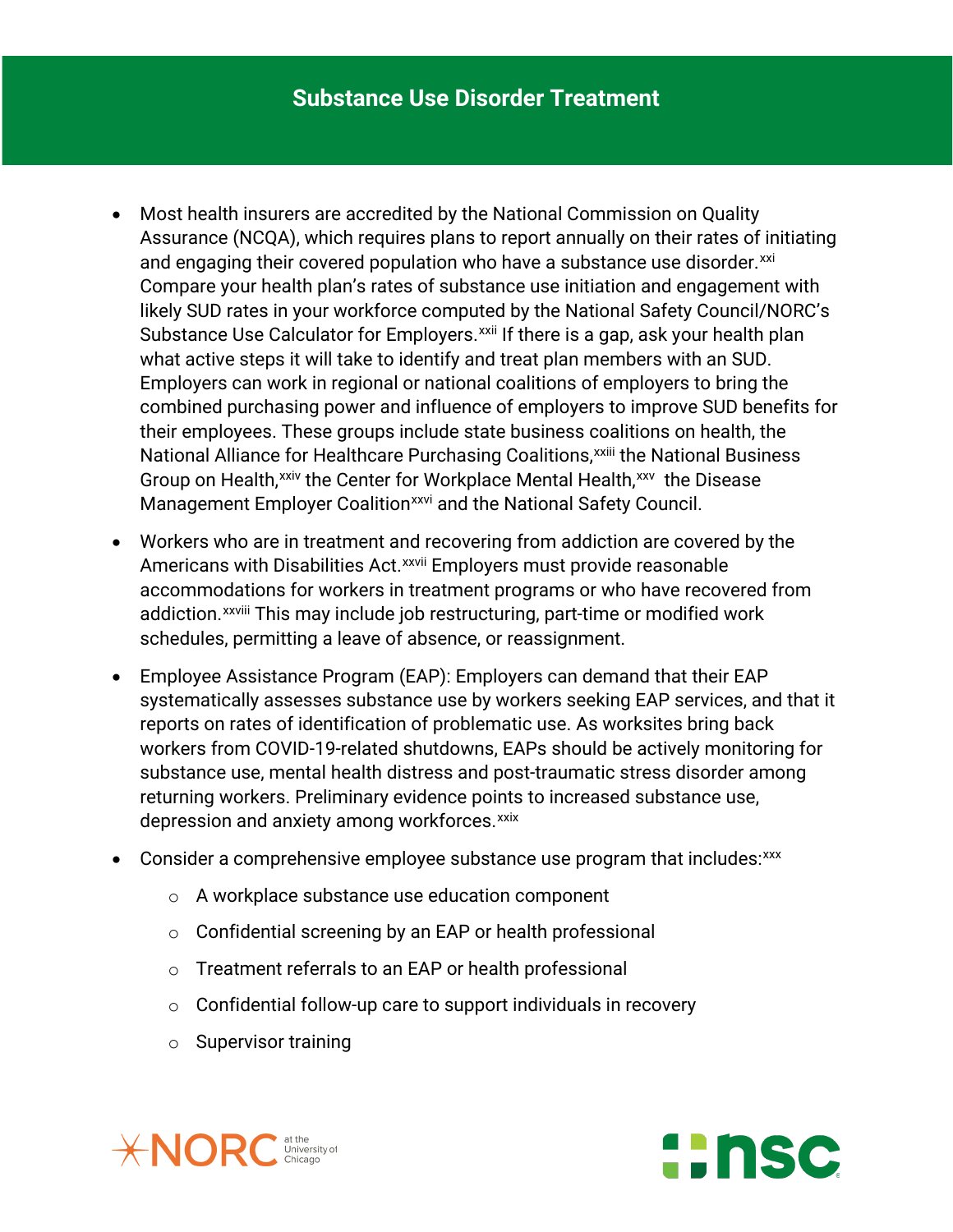- Most health insurers are accredited by the National Commission on Quality Assurance (NCQA), which requires plans to report annually on their rates of initiating and engaging their covered population who have a substance use disorder.<sup>[xxi](#page-6-8)</sup> Nat[i](#page-6-10)onal Alliance for Healthcare Purchasing Coalitions, xxiii the National Business Compare your health plan's rates of substance use initiation and engagement with likely SUD rates in your workforce computed by the National Safety Council/NORC's Substance Use Calculator for Employers.<sup>[xxii](#page-6-9)</sup> If there is a gap, ask your health plan what active steps it will take to identify and treat plan members with an SUD. Employers can work in regional or national coalitions of employers to bring the combined purchasing power and influence of employers to improve SUD benefits for their employees. These groups include state business coalitions on health, the Group on Health,<sup>[xxiv](#page-6-11)</sup> the Center for Workplace Mental Health,<sup>xxv</sup> the Disease Management Employer Coalition<sup>[xxvi](#page-6-13)</sup> and the National Safety Council.
- Workers who are in treatment and recovering from addiction are covered by the Amer[i](#page-6-14)cans with Disabilities Act.<sup>xxvii</sup> Employers must provide reasonable addiction.<sup>xxviii</sup> [T](#page-6-15)his may include job restructuring, part-time or modified work accommodations for workers in treatment programs or who have recovered from schedules, permitting a leave of absence, or reassignment.
- Employee Assistance Program (EAP): Employers can demand that their EAP systematically assesses substance use by workers seeking EAP services, and that it reports on rates of identification of problematic use. As worksites bring back workers from COVID-19-related shutdowns, EAPs should be actively monitoring for substance use, mental health distress and post-traumatic stress disorder among returning workers. Preliminary evidence points to increased substance use, depression and anxiety among workforces.<sup>[xxix](#page-6-16)</sup>
- Consider a comprehensive employee substance use program that includes: [xxx](#page-6-17)
	- o A workplace substance use education component
	- o Confidential screening by an EAP or health professional
	- o Treatment referrals to an EAP or health professional
	- $\circ$  Confidential follow-up care to support individuals in recovery
	- o Supervisor training



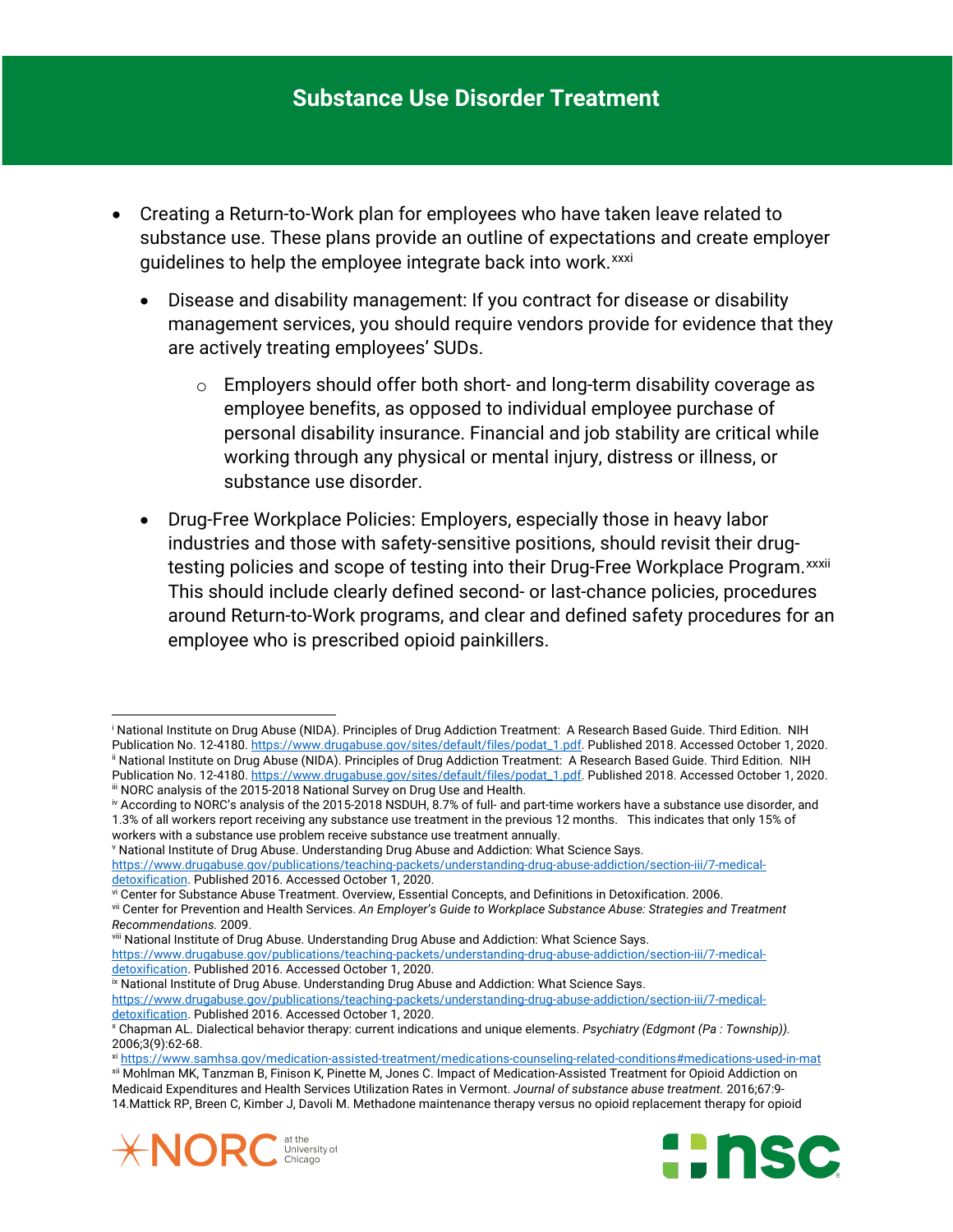- Creating a Return-to-Work plan for employees who have taken leave related to substance use. These plans provide an outline of expectations and create employer guidelines to help the employee integrate back into work.<sup>[xxxi](#page-6-18)</sup>
	- Disease and disability management: If you contract for disease or disability management services, you should require vendors provide for evidence that they are actively treating employees' SUDs.
		- o Employers should offer both short- and long-term disability coverage as employee benefits, as opposed to individual employee purchase of personal disability insurance. Financial and job stability are critical while working through any physical or mental injury, distress or illness, or substance use disorder.
	- Drug-Free Workplace Policies: Employers, especially those in heavy labor industries and those with safety-sensitive positions, should revisit their drugtesting policies and scope of testing into their Drug-Free Workplace Program.<sup>xxxii</sup> This should include clearly defined second- or last-chance policies, procedures around Return-to-Work programs, and clear and defined safety procedures for an employee who is prescribed opioid painkillers.

<span id="page-5-4"></span><sup>v</sup> National Institute of Drug Abuse. Understanding Drug Abuse and Addiction: What Science Says.

```
https://www.drugabuse.gov/publications/teaching-packets/understanding-drug-abuse-addiction/section-iii/7-medical-
detoxification. Published 2016. Accessed October 1, 2020.
```
<span id="page-5-8"></span>ix National Institute of Drug Abuse. Understanding Drug Abuse and Addiction: What Science Says. [https://www.drugabuse.gov/publications/teaching-packets/understanding-drug-abuse-addiction/section-iii/7-medical](https://www.drugabuse.gov/publications/teaching-packets/understanding-drug-abuse-addiction/section-iii/7-medical-detoxification)[detoxification.](https://www.drugabuse.gov/publications/teaching-packets/understanding-drug-abuse-addiction/section-iii/7-medical-detoxification) Published 2016. Accessed October 1, 2020.

<span id="page-5-11"></span><span id="page-5-10"></span><span id="page-5-9"></span>xii Mohlman MK, Tanzman B, Finison K, Pinette M, Jones C. Impact of Medication-Assisted Treatment for Opioid Addiction on Medicaid Expenditures and Health Services Utilization Rates in Vermont. *Journal of substance abuse treatment.* 2016;67:9- 14.Mattick RP, Breen C, Kimber J, Davoli M. Methadone maintenance therapy versus no opioid replacement therapy for opioid



 $\overline{\phantom{a}}$ 



<span id="page-5-0"></span><sup>i</sup> National Institute on Drug Abuse (NIDA). Principles of Drug Addiction Treatment: A Research Based Guide. Third Edition. NIH Publication No. 12-4180[. https://www.drugabuse.gov/sites/default/files/podat\\_1.pdf.](https://www.drugabuse.gov/sites/default/files/podat_1.pdf) Published 2018. Accessed October 1, 2020. ii National Institute on Drug Abuse (NIDA). Principles of Drug Addiction Treatment: A Research Based Guide. Third Edition. NIH

<span id="page-5-1"></span>Publication No. 12-4180[. https://www.drugabuse.gov/sites/default/files/podat\\_1.pdf.](https://www.drugabuse.gov/sites/default/files/podat_1.pdf) Published 2018. Accessed October 1, 2020. iii NORC analysis of the 2015-2018 National Survey on Drug Use and Health.

<span id="page-5-3"></span><span id="page-5-2"></span>iv According to NORC's analysis of the 2015-2018 NSDUH, 8.7% of full- and part-time workers have a substance use disorder, and 1.3% of all workers report receiving any substance use treatment in the previous 12 months. This indicates that only 15% of workers with a substance use problem receive substance use treatment annually.

vi Center for Substance Abuse Treatment. Overview, Essential Concepts, and Definitions in Detoxification. 2006.

<span id="page-5-6"></span><span id="page-5-5"></span>vii Center for Prevention and Health Services. *An Employer's Guide to Workplace Substance Abuse: Strategies and Treatment Recommendations.* 2009.

<span id="page-5-7"></span>viii National Institute of Drug Abuse. Understanding Drug Abuse and Addiction: What Science Says. [https://www.drugabuse.gov/publications/teaching-packets/understanding-drug-abuse-addiction/section-iii/7-medical](https://www.drugabuse.gov/publications/teaching-packets/understanding-drug-abuse-addiction/section-iii/7-medical-detoxification)[detoxification.](https://www.drugabuse.gov/publications/teaching-packets/understanding-drug-abuse-addiction/section-iii/7-medical-detoxification) Published 2016. Accessed October 1, 2020.

<sup>x</sup> Chapman AL. Dialectical behavior therapy: current indications and unique elements. *Psychiatry (Edgmont (Pa : Township)).*  2006;3(9):62-68.

xi <https://www.samhsa.gov/medication-assisted-treatment/medications-counseling-related-conditions#medications-used-in-mat>